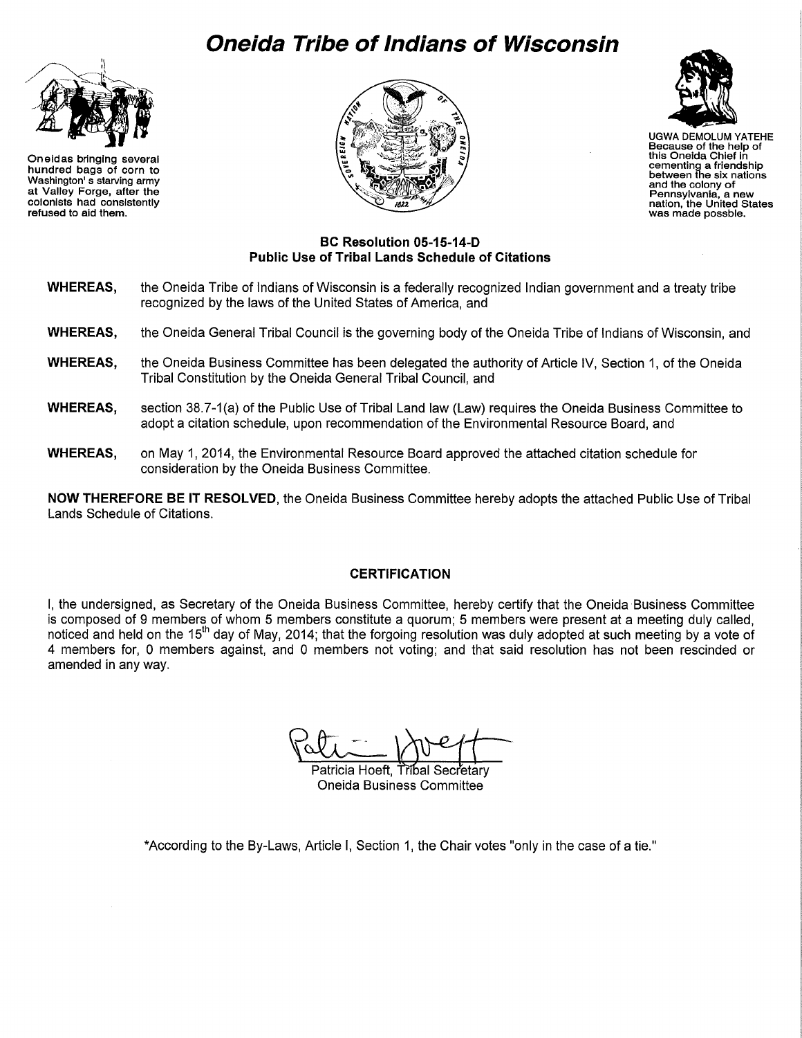## **Oneida Tribe of Indians of Wisconsin**



Oneidas bringing several hundred bags of corn to Washington' s starving army at Valley Forge, after the colonists had consistently refused to aid them.





UGWA DEMOLUM YATEHE Because of the help of this Oneida Chief in cementing a friendship between fhe six nations and the colony of<br>Pennsylvania, a new nation, the United States<br>was made possble.

## **BC Resolution 05-15-14-D Public Use of Tribal Lands Schedule of Citations**

- **WHEREAS,** the Oneida Tribe of Indians of Wisconsin is a federally recognized Indian government and a treaty tribe recognized by the laws of the United States of America, and
- **WHEREAS,** the Oneida General Tribal Council is the governing body of the Oneida Tribe of Indians of Wisconsin, and
- **WHEREAS,** the Oneida Business Committee has been delegated the authority of Article IV, Section 1, of the Oneida Tribal Constitution by the Oneida General Tribal Council, and
- **WHEREAS,** section 38.7-1 (a) of the Public Use of Tribal Land law (Law) requires the Oneida Business Committee to adopt a citation schedule, upon recommendation of the Environmental Resource Board, and
- **WHEREAS,** on May 1, 2014, the Environmental Resource Board approved the attached citation schedule for consideration by the Oneida Business Committee.

**NOW THEREFORE BE IT RESOLVED,** the Oneida Business Committee hereby adopts the attached Public Use of Tribal Lands Schedule of Citations.

## **CERTIFICATION**

I, the undersigned, as Secretary of the Oneida Business Committee, hereby certify that the Oneida Business Committee is composed of 9 members of whom 5 members constitute a quorum; 5 members were present at a meeting duly called, noticed and held on the 15<sup>th</sup> day of May, 2014; that the forgoing resolution was duly adopted at such meeting by a vote of 4 members for, 0 members against, and 0 members not voting; and that said resolution has not been rescinded or amended in any way.

Patricia Hoeft, Tribal Secretary

Oneida Business Committee

\*According to the By-Laws, Article I, Section 1, the Chair votes "only in the case of a tie."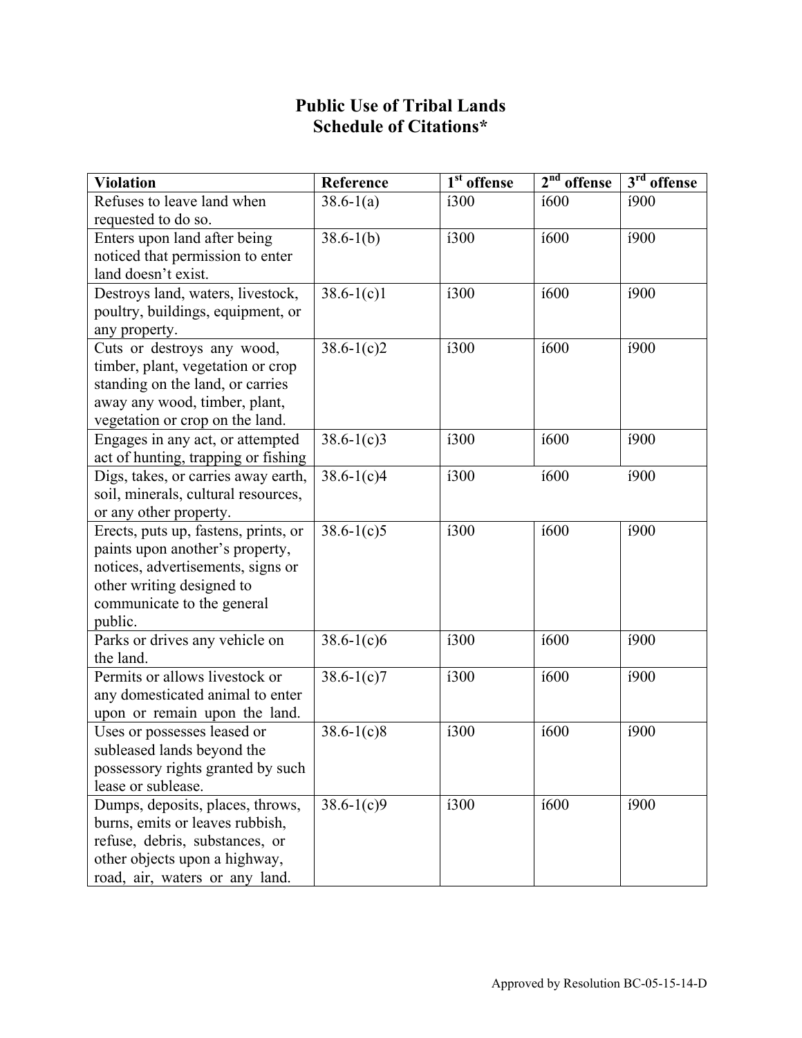## **Public Use of Tribal Lands Schedule of Citations\***

| <b>Violation</b>                          | Reference                 | $\overline{1^{st}}$ offense | $2nd$ offense | $3rd$ offense |
|-------------------------------------------|---------------------------|-----------------------------|---------------|---------------|
| Refuses to leave land when                | $38.6 - 1(a)$             | i300                        | <i>i</i> 600  | i900          |
| requested to do so.                       |                           |                             |               |               |
| Enters upon land after being              | $38.6 - 1(b)$             | <b>i300</b>                 | <b>í600</b>   | i900          |
| noticed that permission to enter          |                           |                             |               |               |
| land doesn't exist.                       |                           |                             |               |               |
| Destroys land, waters, livestock,         | $38.6 - 1(c)1$            | <b>i300</b>                 | <b>í600</b>   | í900          |
| poultry, buildings, equipment, or         |                           |                             |               |               |
| any property.                             |                           |                             |               |               |
| Cuts or destroys any wood,                | $38.6 - 1(c)2$            | <b>i300</b>                 | <i>i</i> 600  | í900          |
| timber, plant, vegetation or crop         |                           |                             |               |               |
| standing on the land, or carries          |                           |                             |               |               |
| away any wood, timber, plant,             |                           |                             |               |               |
| vegetation or crop on the land.           |                           |                             |               |               |
| Engages in any act, or attempted          | $38.6 - 1(c)3$            | i300                        | <i>i</i> 600  | i900          |
| act of hunting, trapping or fishing       |                           |                             |               |               |
| Digs, takes, or carries away earth,       | $38.6 - 1(c)4$            | i300                        | í600          | í900          |
| soil, minerals, cultural resources,       |                           |                             |               |               |
| or any other property.                    |                           |                             |               |               |
| Erects, puts up, fastens, prints, or      | $\overline{38.6} - 1(c)5$ | i300                        | <i>i</i> 600  | í900          |
| paints upon another's property,           |                           |                             |               |               |
| notices, advertisements, signs or         |                           |                             |               |               |
| other writing designed to                 |                           |                             |               |               |
| communicate to the general                |                           |                             |               |               |
| public.<br>Parks or drives any vehicle on | $38.6 - 1(c)6$            | <b>i300</b>                 | i600          | i900          |
| the land.                                 |                           |                             |               |               |
| Permits or allows livestock or            | $38.6 - 1(c)7$            | i300                        | í600          | i900          |
| any domesticated animal to enter          |                           |                             |               |               |
| upon or remain upon the land.             |                           |                             |               |               |
| Uses or possesses leased or               | $38.6 - 1(c)8$            | í300                        | i600          | i900          |
| subleased lands beyond the                |                           |                             |               |               |
| possessory rights granted by such         |                           |                             |               |               |
| lease or sublease.                        |                           |                             |               |               |
| Dumps, deposits, places, throws,          | $38.6 - 1(c)9$            | <b>i300</b>                 | <i>i</i> 600  | i900          |
| burns, emits or leaves rubbish,           |                           |                             |               |               |
| refuse, debris, substances, or            |                           |                             |               |               |
| other objects upon a highway,             |                           |                             |               |               |
| road, air, waters or any land.            |                           |                             |               |               |